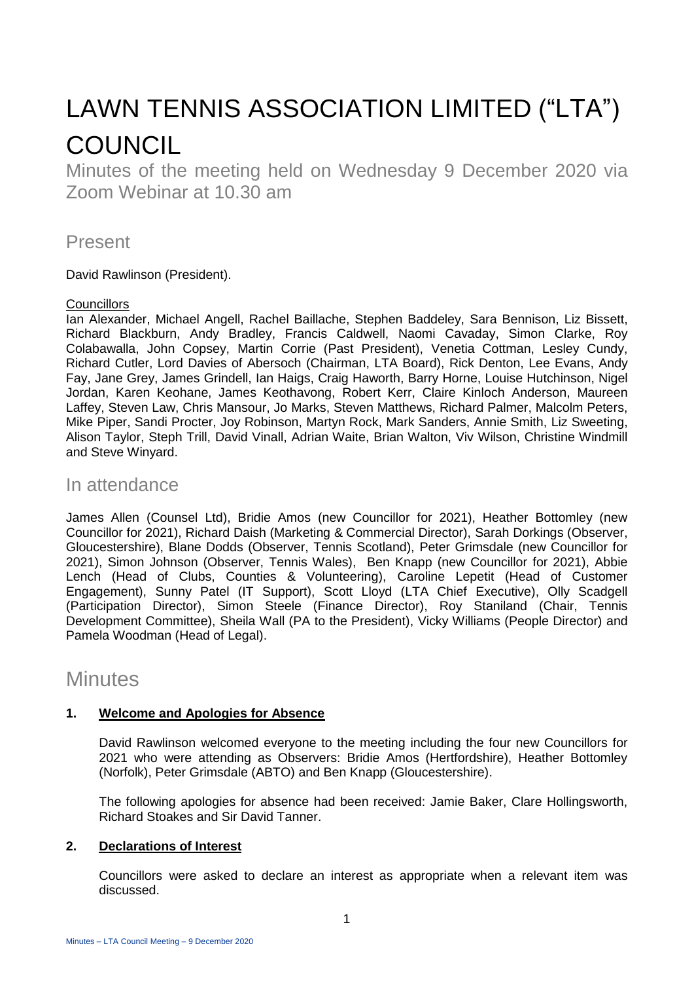# LAWN TENNIS ASSOCIATION LIMITED ("LTA") **COUNCIL**

Minutes of the meeting held on Wednesday 9 December 2020 via Zoom Webinar at 10.30 am

### Present

David Rawlinson (President).

#### **Councillors**

Ian Alexander, Michael Angell, Rachel Baillache, Stephen Baddeley, Sara Bennison, Liz Bissett, Richard Blackburn, Andy Bradley, Francis Caldwell, Naomi Cavaday, Simon Clarke, Roy Colabawalla, John Copsey, Martin Corrie (Past President), Venetia Cottman, Lesley Cundy, Richard Cutler, Lord Davies of Abersoch (Chairman, LTA Board), Rick Denton, Lee Evans, Andy Fay, Jane Grey, James Grindell, Ian Haigs, Craig Haworth, Barry Horne, Louise Hutchinson, Nigel Jordan, Karen Keohane, James Keothavong, Robert Kerr, Claire Kinloch Anderson, Maureen Laffey, Steven Law, Chris Mansour, Jo Marks, Steven Matthews, Richard Palmer, Malcolm Peters, Mike Piper, Sandi Procter, Joy Robinson, Martyn Rock, Mark Sanders, Annie Smith, Liz Sweeting, Alison Taylor, Steph Trill, David Vinall, Adrian Waite, Brian Walton, Viv Wilson, Christine Windmill and Steve Winyard.

## In attendance

James Allen (Counsel Ltd), Bridie Amos (new Councillor for 2021), Heather Bottomley (new Councillor for 2021), Richard Daish (Marketing & Commercial Director), Sarah Dorkings (Observer, Gloucestershire), Blane Dodds (Observer, Tennis Scotland), Peter Grimsdale (new Councillor for 2021), Simon Johnson (Observer, Tennis Wales), Ben Knapp (new Councillor for 2021), Abbie Lench (Head of Clubs, Counties & Volunteering), Caroline Lepetit (Head of Customer Engagement), Sunny Patel (IT Support), Scott Lloyd (LTA Chief Executive), Olly Scadgell (Participation Director), Simon Steele (Finance Director), Roy Staniland (Chair, Tennis Development Committee), Sheila Wall (PA to the President), Vicky Williams (People Director) and Pamela Woodman (Head of Legal).

# **Minutes**

#### **1. Welcome and Apologies for Absence**

David Rawlinson welcomed everyone to the meeting including the four new Councillors for 2021 who were attending as Observers: Bridie Amos (Hertfordshire), Heather Bottomley (Norfolk), Peter Grimsdale (ABTO) and Ben Knapp (Gloucestershire).

The following apologies for absence had been received: Jamie Baker, Clare Hollingsworth, Richard Stoakes and Sir David Tanner.

#### **2. Declarations of Interest**

Councillors were asked to declare an interest as appropriate when a relevant item was discussed.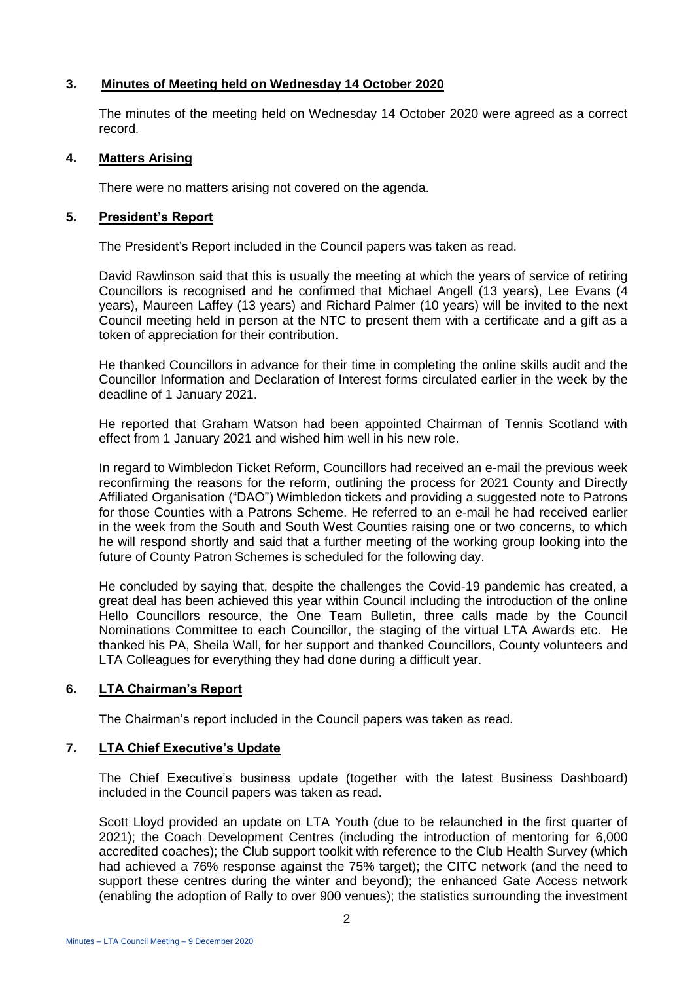#### **3. Minutes of Meeting held on Wednesday 14 October 2020**

The minutes of the meeting held on Wednesday 14 October 2020 were agreed as a correct record.

#### **4. Matters Arising**

There were no matters arising not covered on the agenda.

#### **5. President's Report**

The President's Report included in the Council papers was taken as read.

David Rawlinson said that this is usually the meeting at which the years of service of retiring Councillors is recognised and he confirmed that Michael Angell (13 years), Lee Evans (4 years), Maureen Laffey (13 years) and Richard Palmer (10 years) will be invited to the next Council meeting held in person at the NTC to present them with a certificate and a gift as a token of appreciation for their contribution.

He thanked Councillors in advance for their time in completing the online skills audit and the Councillor Information and Declaration of Interest forms circulated earlier in the week by the deadline of 1 January 2021.

He reported that Graham Watson had been appointed Chairman of Tennis Scotland with effect from 1 January 2021 and wished him well in his new role.

In regard to Wimbledon Ticket Reform, Councillors had received an e-mail the previous week reconfirming the reasons for the reform, outlining the process for 2021 County and Directly Affiliated Organisation ("DAO") Wimbledon tickets and providing a suggested note to Patrons for those Counties with a Patrons Scheme. He referred to an e-mail he had received earlier in the week from the South and South West Counties raising one or two concerns, to which he will respond shortly and said that a further meeting of the working group looking into the future of County Patron Schemes is scheduled for the following day.

He concluded by saying that, despite the challenges the Covid-19 pandemic has created, a great deal has been achieved this year within Council including the introduction of the online Hello Councillors resource, the One Team Bulletin, three calls made by the Council Nominations Committee to each Councillor, the staging of the virtual LTA Awards etc. He thanked his PA, Sheila Wall, for her support and thanked Councillors, County volunteers and LTA Colleagues for everything they had done during a difficult year.

#### **6. LTA Chairman's Report**

The Chairman's report included in the Council papers was taken as read.

#### **7. LTA Chief Executive's Update**

The Chief Executive's business update (together with the latest Business Dashboard) included in the Council papers was taken as read.

Scott Lloyd provided an update on LTA Youth (due to be relaunched in the first quarter of 2021); the Coach Development Centres (including the introduction of mentoring for 6,000 accredited coaches); the Club support toolkit with reference to the Club Health Survey (which had achieved a 76% response against the 75% target); the CITC network (and the need to support these centres during the winter and beyond); the enhanced Gate Access network (enabling the adoption of Rally to over 900 venues); the statistics surrounding the investment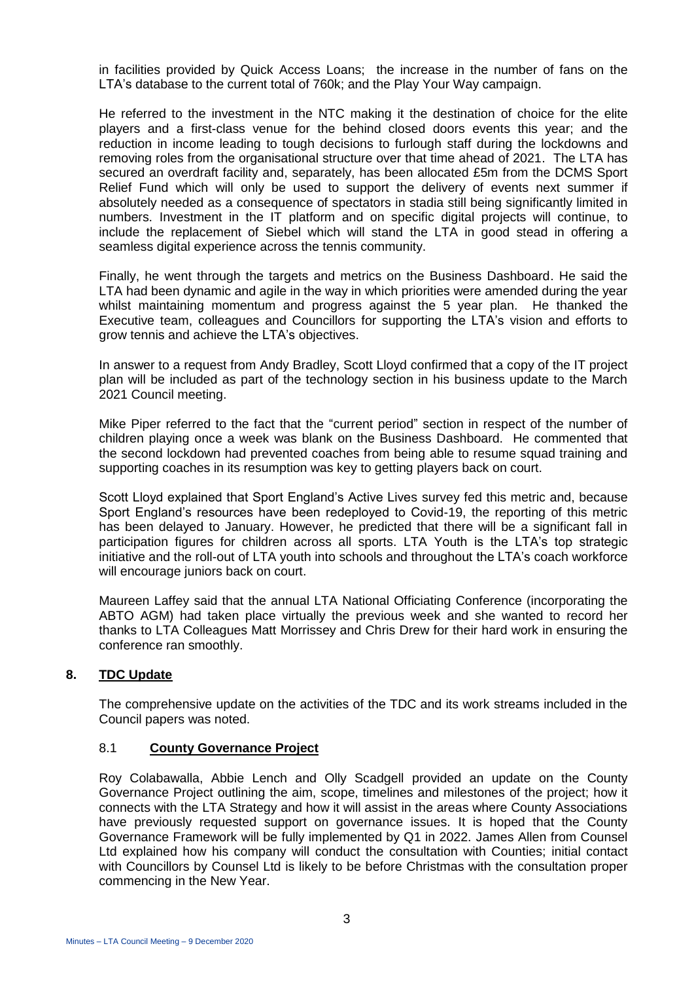in facilities provided by Quick Access Loans; the increase in the number of fans on the LTA's database to the current total of 760k; and the Play Your Way campaign.

He referred to the investment in the NTC making it the destination of choice for the elite players and a first-class venue for the behind closed doors events this year; and the reduction in income leading to tough decisions to furlough staff during the lockdowns and removing roles from the organisational structure over that time ahead of 2021. The LTA has secured an overdraft facility and, separately, has been allocated £5m from the DCMS Sport Relief Fund which will only be used to support the delivery of events next summer if absolutely needed as a consequence of spectators in stadia still being significantly limited in numbers. Investment in the IT platform and on specific digital projects will continue, to include the replacement of Siebel which will stand the LTA in good stead in offering a seamless digital experience across the tennis community.

Finally, he went through the targets and metrics on the Business Dashboard. He said the LTA had been dynamic and agile in the way in which priorities were amended during the year whilst maintaining momentum and progress against the 5 year plan. He thanked the Executive team, colleagues and Councillors for supporting the LTA's vision and efforts to grow tennis and achieve the LTA's objectives.

In answer to a request from Andy Bradley, Scott Lloyd confirmed that a copy of the IT project plan will be included as part of the technology section in his business update to the March 2021 Council meeting.

Mike Piper referred to the fact that the "current period" section in respect of the number of children playing once a week was blank on the Business Dashboard. He commented that the second lockdown had prevented coaches from being able to resume squad training and supporting coaches in its resumption was key to getting players back on court.

Scott Lloyd explained that Sport England's Active Lives survey fed this metric and, because Sport England's resources have been redeployed to Covid-19, the reporting of this metric has been delayed to January. However, he predicted that there will be a significant fall in participation figures for children across all sports. LTA Youth is the LTA's top strategic initiative and the roll-out of LTA youth into schools and throughout the LTA's coach workforce will encourage juniors back on court.

Maureen Laffey said that the annual LTA National Officiating Conference (incorporating the ABTO AGM) had taken place virtually the previous week and she wanted to record her thanks to LTA Colleagues Matt Morrissey and Chris Drew for their hard work in ensuring the conference ran smoothly.

#### **8. TDC Update**

The comprehensive update on the activities of the TDC and its work streams included in the Council papers was noted.

#### 8.1 **County Governance Project**

Roy Colabawalla, Abbie Lench and Olly Scadgell provided an update on the County Governance Project outlining the aim, scope, timelines and milestones of the project; how it connects with the LTA Strategy and how it will assist in the areas where County Associations have previously requested support on governance issues. It is hoped that the County Governance Framework will be fully implemented by Q1 in 2022. James Allen from Counsel Ltd explained how his company will conduct the consultation with Counties; initial contact with Councillors by Counsel Ltd is likely to be before Christmas with the consultation proper commencing in the New Year.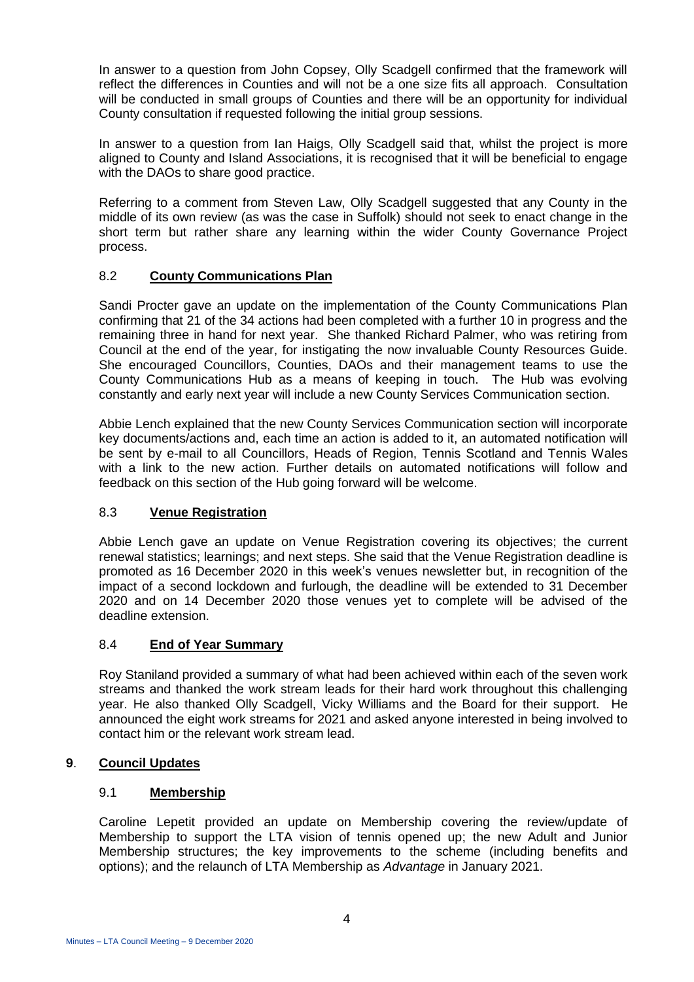In answer to a question from John Copsey, Olly Scadgell confirmed that the framework will reflect the differences in Counties and will not be a one size fits all approach. Consultation will be conducted in small groups of Counties and there will be an opportunity for individual County consultation if requested following the initial group sessions.

In answer to a question from Ian Haigs, Olly Scadgell said that, whilst the project is more aligned to County and Island Associations, it is recognised that it will be beneficial to engage with the DAOs to share good practice.

Referring to a comment from Steven Law, Olly Scadgell suggested that any County in the middle of its own review (as was the case in Suffolk) should not seek to enact change in the short term but rather share any learning within the wider County Governance Project process.

#### 8.2 **County Communications Plan**

Sandi Procter gave an update on the implementation of the County Communications Plan confirming that 21 of the 34 actions had been completed with a further 10 in progress and the remaining three in hand for next year. She thanked Richard Palmer, who was retiring from Council at the end of the year, for instigating the now invaluable County Resources Guide. She encouraged Councillors, Counties, DAOs and their management teams to use the County Communications Hub as a means of keeping in touch. The Hub was evolving constantly and early next year will include a new County Services Communication section.

Abbie Lench explained that the new County Services Communication section will incorporate key documents/actions and, each time an action is added to it, an automated notification will be sent by e-mail to all Councillors, Heads of Region, Tennis Scotland and Tennis Wales with a link to the new action. Further details on automated notifications will follow and feedback on this section of the Hub going forward will be welcome.

#### 8.3 **Venue Registration**

Abbie Lench gave an update on Venue Registration covering its objectives; the current renewal statistics; learnings; and next steps. She said that the Venue Registration deadline is promoted as 16 December 2020 in this week's venues newsletter but, in recognition of the impact of a second lockdown and furlough, the deadline will be extended to 31 December 2020 and on 14 December 2020 those venues yet to complete will be advised of the deadline extension.

#### 8.4 **End of Year Summary**

Roy Staniland provided a summary of what had been achieved within each of the seven work streams and thanked the work stream leads for their hard work throughout this challenging year. He also thanked Olly Scadgell, Vicky Williams and the Board for their support. He announced the eight work streams for 2021 and asked anyone interested in being involved to contact him or the relevant work stream lead.

#### **9**. **Council Updates**

#### 9.1 **Membership**

Caroline Lepetit provided an update on Membership covering the review/update of Membership to support the LTA vision of tennis opened up; the new Adult and Junior Membership structures; the key improvements to the scheme (including benefits and options); and the relaunch of LTA Membership as *Advantage* in January 2021.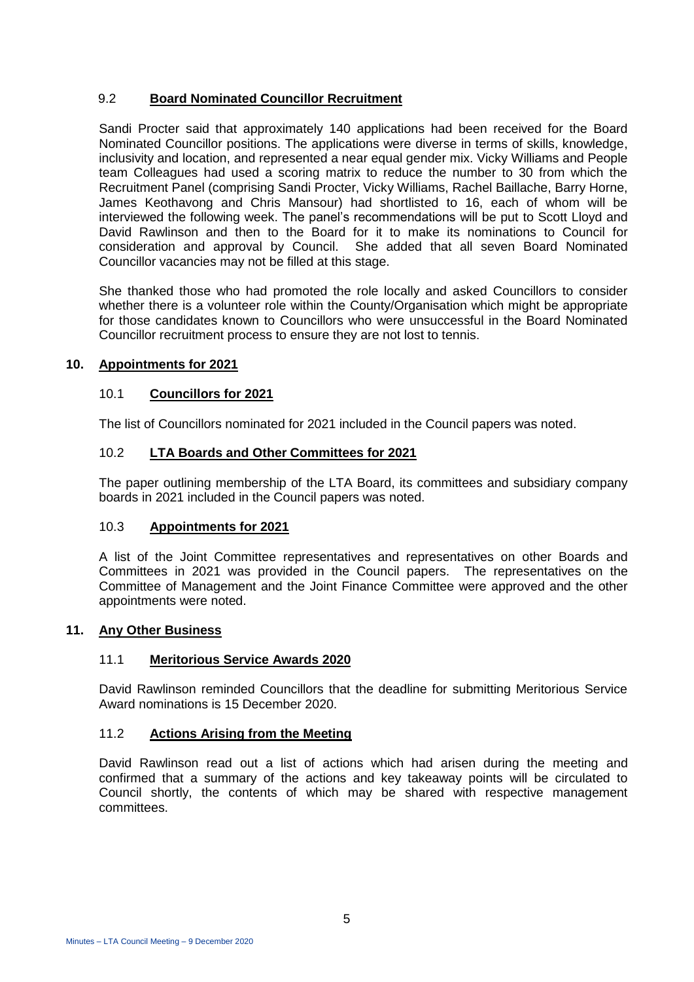#### 9.2 **Board Nominated Councillor Recruitment**

Sandi Procter said that approximately 140 applications had been received for the Board Nominated Councillor positions. The applications were diverse in terms of skills, knowledge, inclusivity and location, and represented a near equal gender mix. Vicky Williams and People team Colleagues had used a scoring matrix to reduce the number to 30 from which the Recruitment Panel (comprising Sandi Procter, Vicky Williams, Rachel Baillache, Barry Horne, James Keothavong and Chris Mansour) had shortlisted to 16, each of whom will be interviewed the following week. The panel's recommendations will be put to Scott Lloyd and David Rawlinson and then to the Board for it to make its nominations to Council for consideration and approval by Council. She added that all seven Board Nominated Councillor vacancies may not be filled at this stage.

She thanked those who had promoted the role locally and asked Councillors to consider whether there is a volunteer role within the County/Organisation which might be appropriate for those candidates known to Councillors who were unsuccessful in the Board Nominated Councillor recruitment process to ensure they are not lost to tennis.

#### **10. Appointments for 2021**

#### 10.1 **Councillors for 2021**

The list of Councillors nominated for 2021 included in the Council papers was noted.

#### 10.2 **LTA Boards and Other Committees for 2021**

The paper outlining membership of the LTA Board, its committees and subsidiary company boards in 2021 included in the Council papers was noted.

#### 10.3 **Appointments for 2021**

A list of the Joint Committee representatives and representatives on other Boards and Committees in 2021 was provided in the Council papers. The representatives on the Committee of Management and the Joint Finance Committee were approved and the other appointments were noted.

#### **11. Any Other Business**

#### 11.1 **Meritorious Service Awards 2020**

David Rawlinson reminded Councillors that the deadline for submitting Meritorious Service Award nominations is 15 December 2020.

#### 11.2 **Actions Arising from the Meeting**

David Rawlinson read out a list of actions which had arisen during the meeting and confirmed that a summary of the actions and key takeaway points will be circulated to Council shortly, the contents of which may be shared with respective management committees.